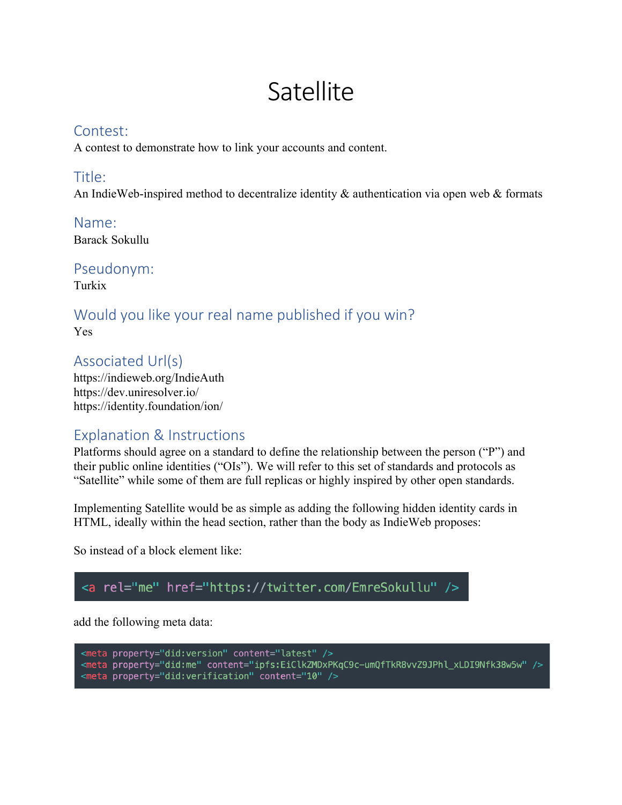# **Satellite**

#### Contest:

A contest to demonstrate how to link your accounts and content.

#### Title:

An IndieWeb-inspired method to decentralize identity & authentication via open web & formats

Name: Barack Sokullu

Pseudonym:

Turkix

#### Would you like your real name published if you win? Yes

Associated Url(s) https://indieweb.org/IndieAuth https://dev.uniresolver.io/ https://identity.foundation/ion/

### Explanation & Instructions

Platforms should agree on a standard to define the relationship between the person ("P") and their public online identities ("OIs"). We will refer to this set of standards and protocols as "Satellite" while some of them are full replicas or highly inspired by other open standards.

Implementing Satellite would be as simple as adding the following hidden identity cards in HTML, ideally within the head section, rather than the body as IndieWeb proposes:

So instead of a block element like:

## <a rel="me" href="https://twitter.com/EmreSokullu" />

add the following meta data:

<meta property="did:version" content="latest" /> <meta property="did:me" content="ipfs:EiClkZMDxPKqC9c-umQfTkR8vvZ9JPhl\_xLDI9Nfk38w5w" /><br><meta property="did:me" content="ipfs:EiClkZMDxPKqC9c-umQfTkR8vvZ9JPhl\_xLDI9Nfk38w5w" />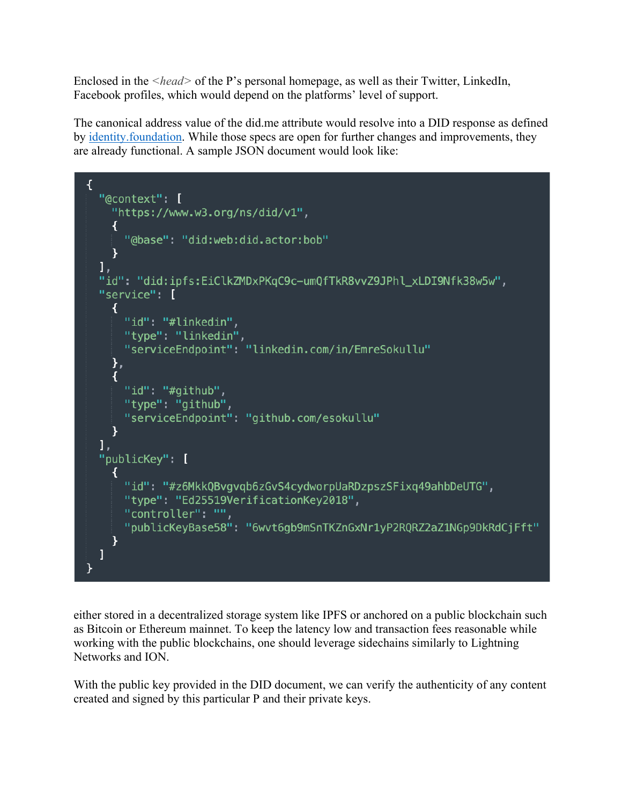Enclosed in the *<head>* of the P's personal homepage, as well as their Twitter, LinkedIn, Facebook profiles, which would depend on the platforms' level of support.

The canonical address value of the did.me attribute would resolve into a DID response as defined by identity.foundation. While those specs are open for further changes and improvements, they are already functional. A sample JSON document would look like:

```
\overline{\mathcal{L}}"@context": [
    "https://www.w3.org/ns/did/v1",
    ₹
      "@base": "did:web:did.actor:bob"
    P.
  ı,
  "id": "did:ipfs:EiClkZMDxPKgC9c-umQfTkR8vvZ9JPhl xLDI9Nfk38w5w",
  "service": [
    \left\{ \right."id": "#linkedin",
      "type": "linkedin",
      "serviceEndpoint": "linkedin.com/in/EmreSokullu"
    },
    \overline{A}"id": "#github",
      "type": "github",
      "serviceEndpoint": "github.com/esokullu"
    \mathcal{F}ı,
  "publicKey": [
    ₹
      "id": "#z6MkkQBvgvqb6zGvS4cydworpUaRDzpszSFixq49ahbDeUTG",
      "type": "Ed25519VerificationKey2018",
      "controller": "",
      "publicKeyBase58": "6wvt6gb9mSnTKZnGxNr1yP2RQRZ2aZ1NGp9DkRdCjFft"
    ł
  I
}
```
either stored in a decentralized storage system like IPFS or anchored on a public blockchain such as Bitcoin or Ethereum mainnet. To keep the latency low and transaction fees reasonable while working with the public blockchains, one should leverage sidechains similarly to Lightning Networks and ION.

With the public key provided in the DID document, we can verify the authenticity of any content created and signed by this particular P and their private keys.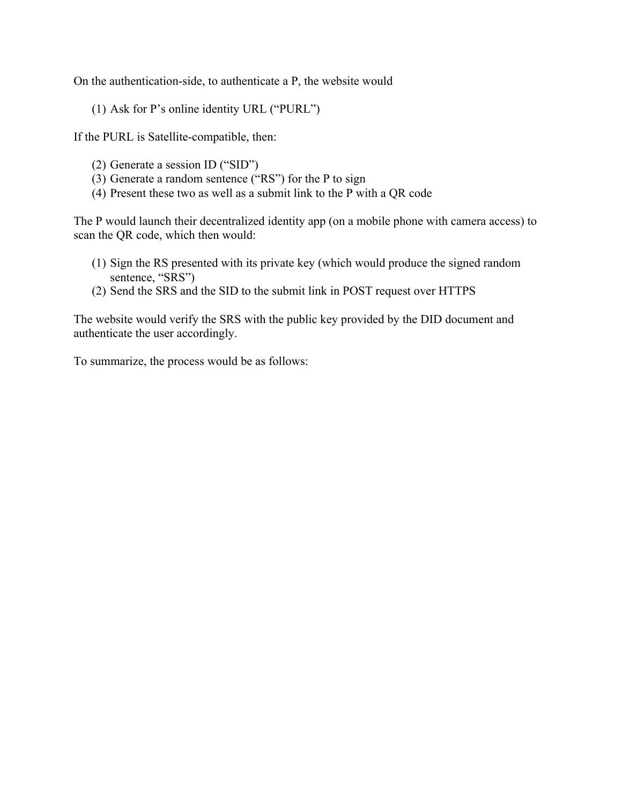On the authentication-side, to authenticate a P, the website would

(1) Ask for P's online identity URL ("PURL")

If the PURL is Satellite-compatible, then:

- (2) Generate a session ID ("SID")
- (3) Generate a random sentence ("RS") for the P to sign
- (4) Present these two as well as a submit link to the P with a QR code

The P would launch their decentralized identity app (on a mobile phone with camera access) to scan the QR code, which then would:

- (1) Sign the RS presented with its private key (which would produce the signed random sentence, "SRS")
- (2) Send the SRS and the SID to the submit link in POST request over HTTPS

The website would verify the SRS with the public key provided by the DID document and authenticate the user accordingly.

To summarize, the process would be as follows: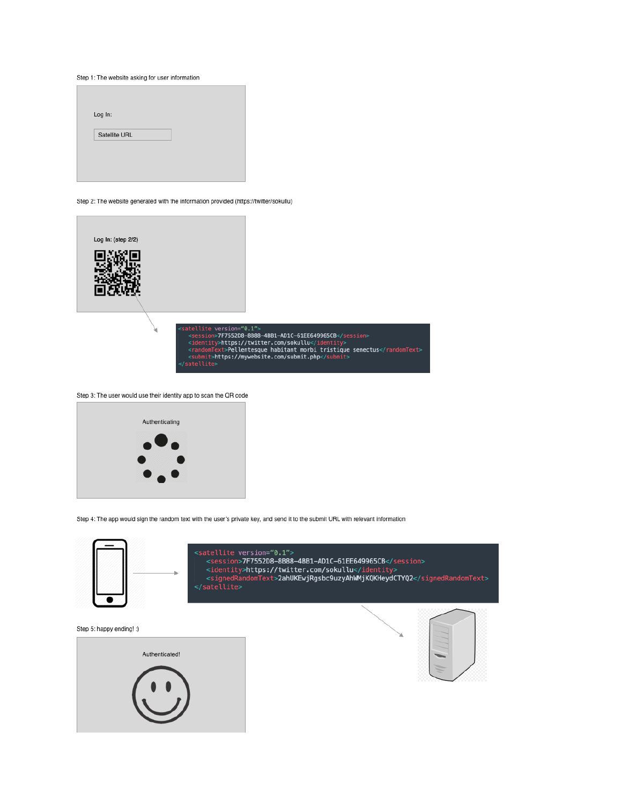

٠





<satellite version="0.1"> <satellite> version>7F7552D8-8B88-4BB1-AD1C-61EE649965CB</session><br></session>7F7552D8-8B88-4BB1-AD1C-61EE649965CB</session><br></session>7F7552D8-8B88-4BB1-AD1C-61EE649965CB</session><br></session>7F7552D8-8B88-4BB1-AD1C-61EE649

Step 4: The app would sign the random text with the user's private key, and send it to the submit URL with relevant information



Step 3: The user would use their identity app to scan the QR code





Step 2: The website generated with the information provided (https://twitter/sokullu)

Log In: Satellite URL

Step 1: The website asking for user information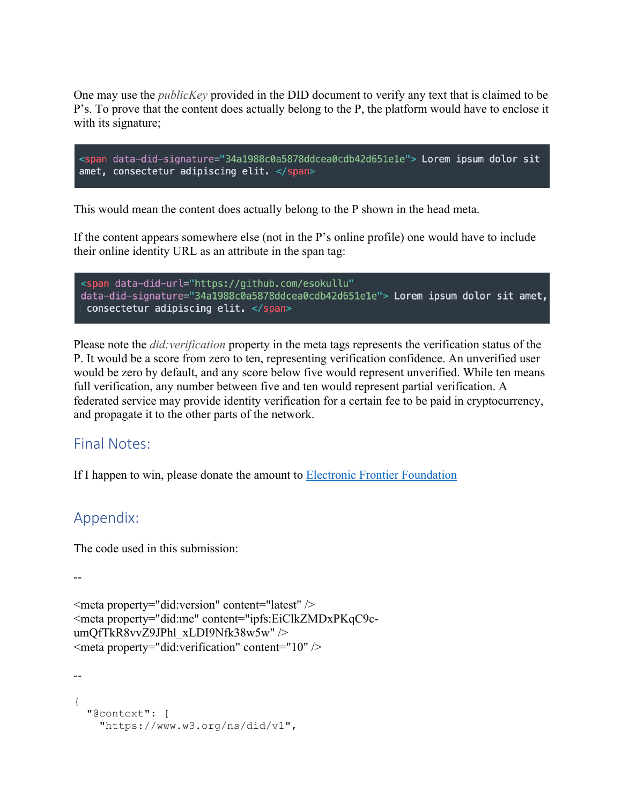One may use the *publicKey* provided in the DID document to verify any text that is claimed to be P's. To prove that the content does actually belong to the P, the platform would have to enclose it with its signature;



This would mean the content does actually belong to the P shown in the head meta.

If the content appears somewhere else (not in the P's online profile) one would have to include their online identity URL as an attribute in the span tag:

```
<span data-did-url="https://github.com/esokullu"
data-did-signature="34a1988c0a5878ddcea0cdb42d651e1e"> Lorem ipsum dolor sit amet,
consectetur adipiscing elit. </span>
```
Please note the *did:verification* property in the meta tags represents the verification status of the P. It would be a score from zero to ten, representing verification confidence. An unverified user would be zero by default, and any score below five would represent unverified. While ten means full verification, any number between five and ten would represent partial verification. A federated service may provide identity verification for a certain fee to be paid in cryptocurrency, and propagate it to the other parts of the network.

#### Final Notes:

If I happen to win, please donate the amount to **Electronic Frontier Foundation** 

#### Appendix:

The code used in this submission:

--

```
<meta property="did:version" content="latest" />
<meta property="did:me" content="ipfs:EiClkZMDxPKqC9c-
umQfTkR8vvZ9JPhl_xLDI9Nfk38w5w" />
\leqmeta property="did:verification" content="10" \geq
```

```
--
{
   "@context": [
     "https://www.w3.org/ns/did/v1",
```